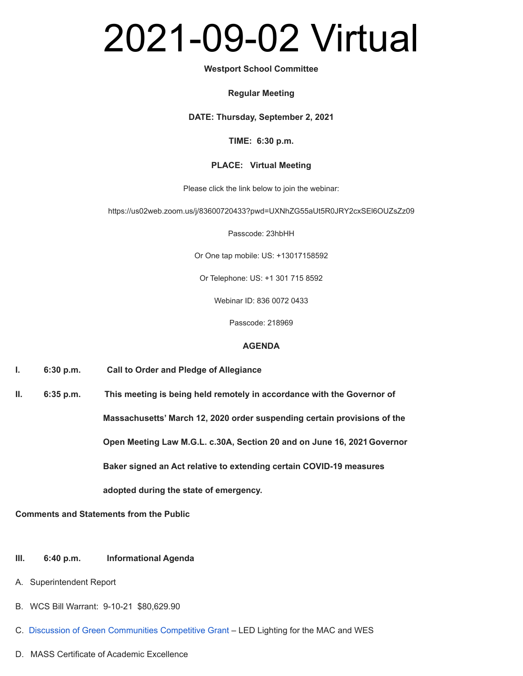# 2021-09-02 Virtual

#### **Westport School Committee**

#### **Regular Meeting**

**DATE: Thursday, September 2, 2021**

#### **TIME: 6:30 p.m.**

# **PLACE: Virtual Meeting**

Please click the link below to join the webinar:

https://us02web.zoom.us/j/83600720433?pwd=UXNhZG55aUt5R0JRY2cxSEl6OUZsZz09

Passcode: 23hbHH

Or One tap mobile: US: +13017158592

Or Telephone: US: +1 301 715 8592

Webinar ID: 836 0072 0433

Passcode: 218969

# **AGENDA**

- **I. 6:30 p.m. Call to Order and Pledge of Allegiance**
- **II. 6:35 p.m. This meeting is being held remotely in accordance with the Governor of Massachusetts' March 12, 2020 order suspending certain provisions of the Open Meeting Law M.G.L. c.30A, Section 20 and on June 16, 2021Governor Baker signed an Act relative to extending certain COVID-19 measures adopted during the state of emergency.**

**Comments and Statements from the Public**

- **III. 6:40 p.m. Informational Agenda**
- A. Superintendent Report
- B. WCS Bill Warrant: 9-10-21 \$80,629.90
- C. Discussion of Green [Communities](https://docs.google.com/a/westportschools.org/viewer?a=v&pid=sites&srcid=d2VzdHBvcnRzY2hvb2xzLm9yZ3xzY2hvb2wtY29tbWl0dGVlLWJhY2t1cHxneDoyMTZlNjNkMmQ5MmNkMmE5) Competitive Grant LED Lighting for the MAC and WES
- D. MASS Certificate of Academic Excellence